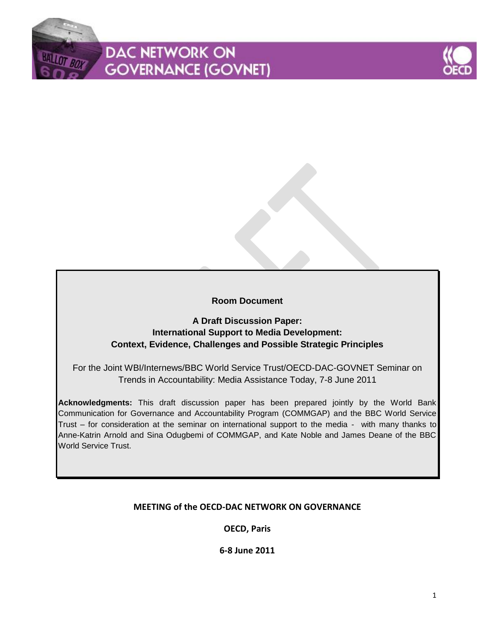# **DAC NETWORK ON GOVERNANCE (GOVNET)**



# **Room Document**

# **A Draft Discussion Paper: International Support to Media Development: Context, Evidence, Challenges and Possible Strategic Principles**

For the Joint WBI/Internews/BBC World Service Trust/OECD-DAC-GOVNET Seminar on Trends in Accountability: Media Assistance Today, 7-8 June 2011

**Acknowledgments:** This draft discussion paper has been prepared jointly by the World Bank Communication for Governance and Accountability Program (COMMGAP) and the BBC World Service Trust – for consideration at the seminar on international support to the media - with many thanks to Anne-Katrin Arnold and Sina Odugbemi of COMMGAP, and Kate Noble and James Deane of the BBC World Service Trust.

# **MEETING of the OECD-DAC NETWORK ON GOVERNANCE**

**OECD, Paris**

**6-8 June 2011**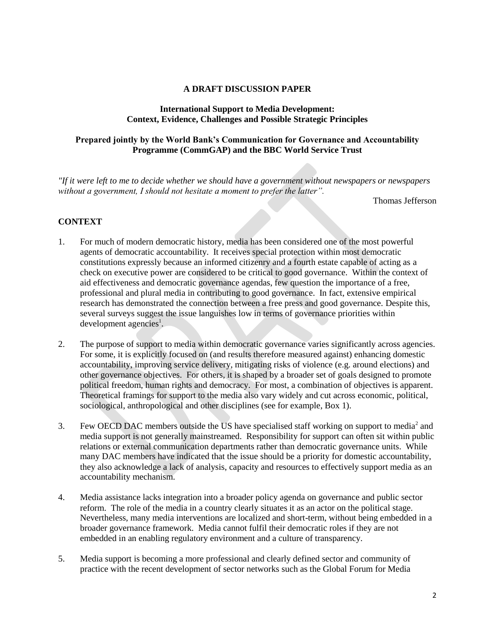#### **A DRAFT DISCUSSION PAPER**

#### **International Support to Media Development: Context, Evidence, Challenges and Possible Strategic Principles**

## **Prepared jointly by the World Bank's Communication for Governance and Accountability Programme (CommGAP) and the BBC World Service Trust**

*"If it were left to me to decide whether we should have a government without newspapers or newspapers without a government, I should not hesitate a moment to prefer the latter".*

Thomas Jefferson

## **CONTEXT**

- 1. For much of modern democratic history, media has been considered one of the most powerful agents of democratic accountability. It receives special protection within most democratic constitutions expressly because an informed citizenry and a fourth estate capable of acting as a check on executive power are considered to be critical to good governance. Within the context of aid effectiveness and democratic governance agendas, few question the importance of a free, professional and plural media in contributing to good governance. In fact, extensive empirical research has demonstrated the connection between a free press and good governance. Despite this, several surveys suggest the issue languishes low in terms of governance priorities within development agencies<sup>1</sup>.
- 2. The purpose of support to media within democratic governance varies significantly across agencies. For some, it is explicitly focused on (and results therefore measured against) enhancing domestic accountability, improving service delivery, mitigating risks of violence (e.g. around elections) and other governance objectives. For others, it is shaped by a broader set of goals designed to promote political freedom, human rights and democracy. For most, a combination of objectives is apparent. Theoretical framings for support to the media also vary widely and cut across economic, political, sociological, anthropological and other disciplines (see for example, Box 1).
- 3. Few OECD DAC members outside the US have specialised staff working on support to media<sup>2</sup> and media support is not generally mainstreamed. Responsibility for support can often sit within public relations or external communication departments rather than democratic governance units. While many DAC members have indicated that the issue should be a priority for domestic accountability, they also acknowledge a lack of analysis, capacity and resources to effectively support media as an accountability mechanism.
- 4. Media assistance lacks integration into a broader policy agenda on governance and public sector reform. The role of the media in a country clearly situates it as an actor on the political stage. Nevertheless, many media interventions are localized and short-term, without being embedded in a broader governance framework. Media cannot fulfil their democratic roles if they are not embedded in an enabling regulatory environment and a culture of transparency.
- 5. Media support is becoming a more professional and clearly defined sector and community of practice with the recent development of sector networks such as the Global Forum for Media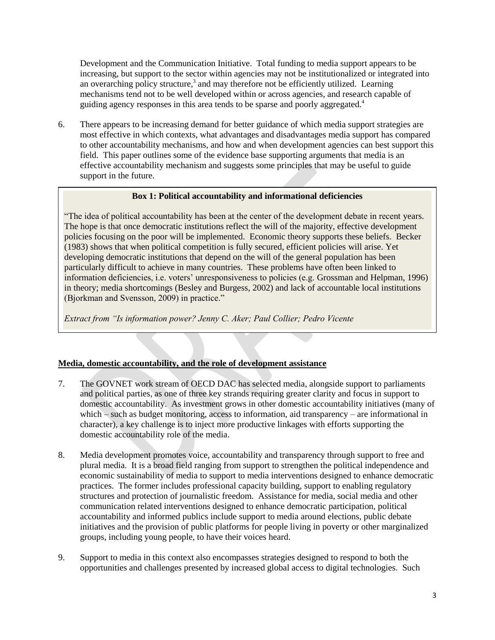Development and the Communication Initiative. Total funding to media support appears to be increasing, but support to the sector within agencies may not be institutionalized or integrated into an overarching policy structure,<sup>3</sup> and may therefore not be efficiently utilized. Learning mechanisms tend not to be well developed within or across agencies, and research capable of guiding agency responses in this area tends to be sparse and poorly aggregated.<sup>4</sup>

6. There appears to be increasing demand for better guidance of which media support strategies are most effective in which contexts, what advantages and disadvantages media support has compared to other accountability mechanisms, and how and when development agencies can best support this field. This paper outlines some of the evidence base supporting arguments that media is an effective accountability mechanism and suggests some principles that may be useful to guide support in the future.

#### **Box 1: Political accountability and informational deficiencies**

"The idea of political accountability has been at the center of the development debate in recent years. The hope is that once democratic institutions reflect the will of the majority, effective development policies focusing on the poor will be implemented. Economic theory supports these beliefs. Becker (1983) shows that when political competition is fully secured, efficient policies will arise. Yet developing democratic institutions that depend on the will of the general population has been particularly difficult to achieve in many countries. These problems have often been linked to information deficiencies, i.e. voters" unresponsiveness to policies (e.g. Grossman and Helpman, 1996) in theory; media shortcomings (Besley and Burgess, 2002) and lack of accountable local institutions (Bjorkman and Svensson, 2009) in practice."

*Extract from "Is information power? Jenny C. Aker; Paul Collier; Pedro Vicente*

## **Media, domestic accountability, and the role of development assistance**

- 7. The GOVNET work stream of OECD DAC has selected media, alongside support to parliaments and political parties, as one of three key strands requiring greater clarity and focus in support to domestic accountability. As investment grows in other domestic accountability initiatives (many of which – such as budget monitoring, access to information, aid transparency – are informational in character), a key challenge is to inject more productive linkages with efforts supporting the domestic accountability role of the media.
- 8. Media development promotes voice, accountability and transparency through support to free and plural media. It is a broad field ranging from support to strengthen the political independence and economic sustainability of media to support to media interventions designed to enhance democratic practices. The former includes professional capacity building, support to enabling regulatory structures and protection of journalistic freedom. Assistance for media, social media and other communication related interventions designed to enhance democratic participation, political accountability and informed publics include support to media around elections, public debate initiatives and the provision of public platforms for people living in poverty or other marginalized groups, including young people, to have their voices heard.
- 9. Support to media in this context also encompasses strategies designed to respond to both the opportunities and challenges presented by increased global access to digital technologies. Such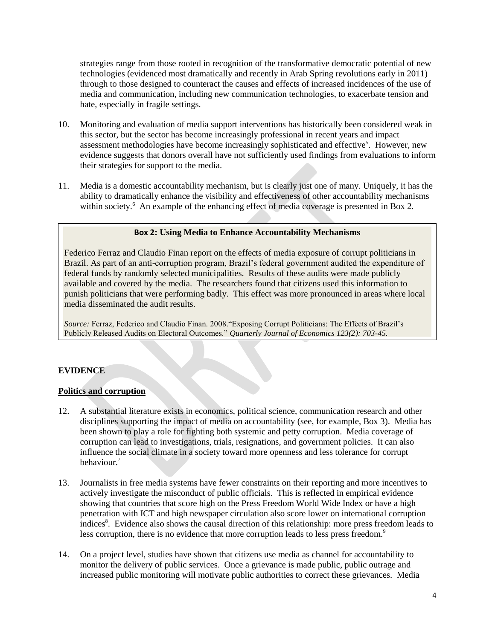strategies range from those rooted in recognition of the transformative democratic potential of new technologies (evidenced most dramatically and recently in Arab Spring revolutions early in 2011) through to those designed to counteract the causes and effects of increased incidences of the use of media and communication, including new communication technologies, to exacerbate tension and hate, especially in fragile settings.

- 10. Monitoring and evaluation of media support interventions has historically been considered weak in this sector, but the sector has become increasingly professional in recent years and impact assessment methodologies have become increasingly sophisticated and effective<sup>5</sup>. However, new evidence suggests that donors overall have not sufficiently used findings from evaluations to inform their strategies for support to the media.
- 11. Media is a domestic accountability mechanism, but is clearly just one of many. Uniquely, it has the ability to dramatically enhance the visibility and effectiveness of other accountability mechanisms within society.<sup>6</sup> An example of the enhancing effect of media coverage is presented in Box 2.

#### **Box 2: Using Media to Enhance Accountability Mechanisms**

Federico Ferraz and Claudio Finan report on the effects of media exposure of corrupt politicians in Brazil. As part of an anti-corruption program, Brazil"s federal government audited the expenditure of federal funds by randomly selected municipalities. Results of these audits were made publicly available and covered by the media. The researchers found that citizens used this information to punish politicians that were performing badly. This effect was more pronounced in areas where local media disseminated the audit results.

*Source:* Ferraz, Federico and Claudio Finan. 2008."Exposing Corrupt Politicians: The Effects of Brazil"s Publicly Released Audits on Electoral Outcomes." *Quarterly Journal of Economics 123(2): 703-45.*

#### **EVIDENCE**

#### **Politics and corruption**

- 12. A substantial literature exists in economics, political science, communication research and other disciplines supporting the impact of media on accountability (see, for example, Box 3). Media has been shown to play a role for fighting both systemic and petty corruption. Media coverage of corruption can lead to investigations, trials, resignations, and government policies. It can also influence the social climate in a society toward more openness and less tolerance for corrupt behaviour.<sup>7</sup>
- 13. Journalists in free media systems have fewer constraints on their reporting and more incentives to actively investigate the misconduct of public officials. This is reflected in empirical evidence showing that countries that score high on the Press Freedom World Wide Index or have a high penetration with ICT and high newspaper circulation also score lower on international corruption indices<sup>8</sup>. Evidence also shows the causal direction of this relationship: more press freedom leads to less corruption, there is no evidence that more corruption leads to less press freedom.<sup>9</sup>
- 14. On a project level, studies have shown that citizens use media as channel for accountability to monitor the delivery of public services. Once a grievance is made public, public outrage and increased public monitoring will motivate public authorities to correct these grievances. Media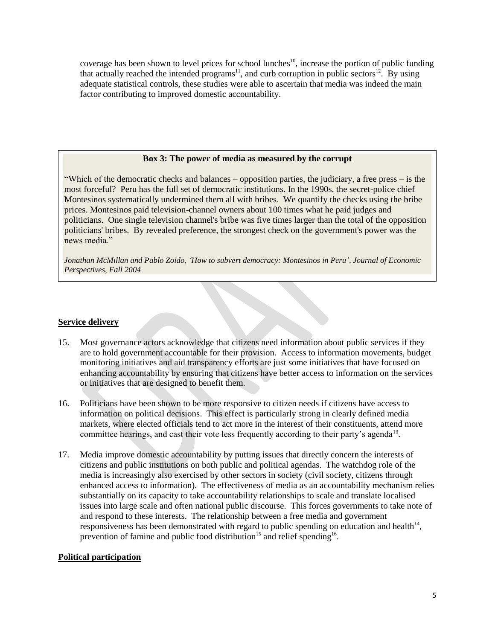coverage has been shown to level prices for school lunches<sup>10</sup>, increase the portion of public funding that actually reached the intended programs<sup>11</sup>, and curb corruption in public sectors<sup>12</sup>. By using adequate statistical controls, these studies were able to ascertain that media was indeed the main factor contributing to improved domestic accountability.

#### **Box 3: The power of media as measured by the corrupt**

"Which of the democratic checks and balances – opposition parties, the judiciary, a free press – is the most forceful? Peru has the full set of democratic institutions. In the 1990s, the secret-police chief Montesinos systematically undermined them all with bribes. We quantify the checks using the bribe prices. Montesinos paid television-channel owners about 100 times what he paid judges and politicians. One single television channel's bribe was five times larger than the total of the opposition politicians' bribes. By revealed preference, the strongest check on the government's power was the news media."

*Jonathan McMillan and Pablo Zoido, "How to subvert democracy: Montesinos in Peru", Journal of Economic Perspectives, Fall 2004*

#### **Service delivery**

- 15. Most governance actors acknowledge that citizens need information about public services if they are to hold government accountable for their provision. Access to information movements, budget monitoring initiatives and aid transparency efforts are just some initiatives that have focused on enhancing accountability by ensuring that citizens have better access to information on the services or initiatives that are designed to benefit them.
- 16. Politicians have been shown to be more responsive to citizen needs if citizens have access to information on political decisions. This effect is particularly strong in clearly defined media markets, where elected officials tend to act more in the interest of their constituents, attend more committee hearings, and cast their vote less frequently according to their party's agenda<sup>13</sup>.
- 17. Media improve domestic accountability by putting issues that directly concern the interests of citizens and public institutions on both public and political agendas. The watchdog role of the media is increasingly also exercised by other sectors in society (civil society, citizens through enhanced access to information). The effectiveness of media as an accountability mechanism relies substantially on its capacity to take accountability relationships to scale and translate localised issues into large scale and often national public discourse. This forces governments to take note of and respond to these interests. The relationship between a free media and government responsiveness has been demonstrated with regard to public spending on education and health $14$ , prevention of famine and public food distribution<sup>15</sup> and relief spending<sup>16</sup>.

#### **Political participation**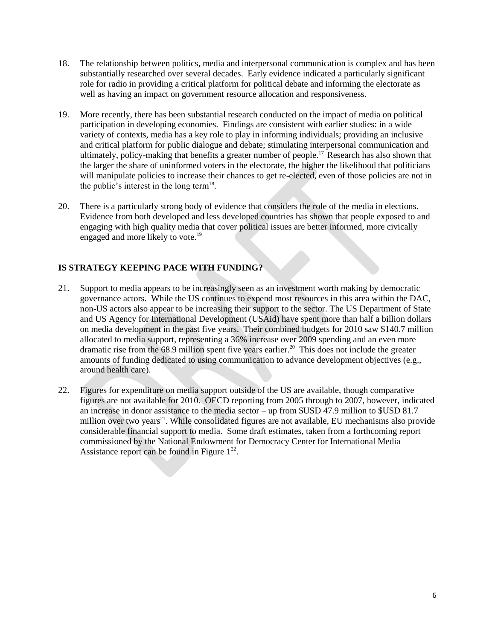- 18. The relationship between politics, media and interpersonal communication is complex and has been substantially researched over several decades. Early evidence indicated a particularly significant role for radio in providing a critical platform for political debate and informing the electorate as well as having an impact on government resource allocation and responsiveness.
- 19. More recently, there has been substantial research conducted on the impact of media on political participation in developing economies. Findings are consistent with earlier studies: in a wide variety of contexts, media has a key role to play in informing individuals; providing an inclusive and critical platform for public dialogue and debate; stimulating interpersonal communication and ultimately, policy-making that benefits a greater number of people.<sup>17</sup> Research has also shown that the larger the share of uninformed voters in the electorate, the higher the likelihood that politicians will manipulate policies to increase their chances to get re-elected, even of those policies are not in the public's interest in the long term<sup>18</sup>.
- 20. There is a particularly strong body of evidence that considers the role of the media in elections. Evidence from both developed and less developed countries has shown that people exposed to and engaging with high quality media that cover political issues are better informed, more civically engaged and more likely to vote.<sup>19</sup>

# **IS STRATEGY KEEPING PACE WITH FUNDING?**

- 21. Support to media appears to be increasingly seen as an investment worth making by democratic governance actors. While the US continues to expend most resources in this area within the DAC, non-US actors also appear to be increasing their support to the sector. The US Department of State and US Agency for International Development (USAid) have spent more than half a billion dollars on media development in the past five years. Their combined budgets for 2010 saw \$140.7 million allocated to media support, representing a 36% increase over 2009 spending and an even more dramatic rise from the 68.9 million spent five years earlier.<sup>20</sup> This does not include the greater amounts of funding dedicated to using communication to advance development objectives (e.g., around health care).
- 22. Figures for expenditure on media support outside of the US are available, though comparative figures are not available for 2010. OECD reporting from 2005 through to 2007, however, indicated an increase in donor assistance to the media sector – up from \$USD 47.9 million to \$USD 81.7 million over two years $^{21}$ . While consolidated figures are not available, EU mechanisms also provide considerable financial support to media. Some draft estimates, taken from a forthcoming report commissioned by the National Endowment for Democracy Center for International Media Assistance report can be found in Figure  $1^{22}$ .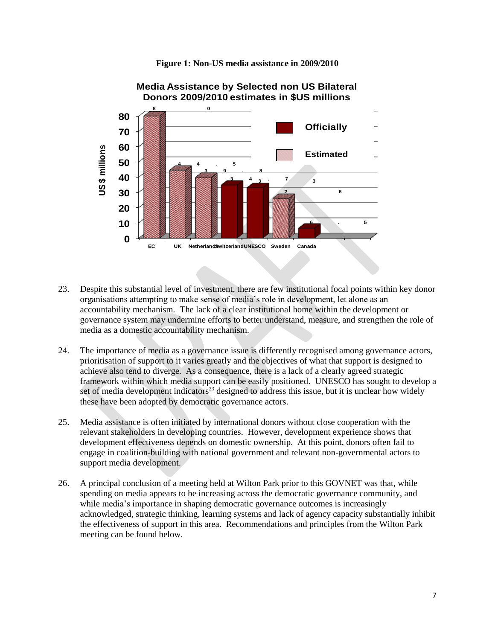



- 23. Despite this substantial level of investment, there are few institutional focal points within key donor organisations attempting to make sense of media"s role in development, let alone as an accountability mechanism. The lack of a clear institutional home within the development or governance system may undermine efforts to better understand, measure, and strengthen the role of media as a domestic accountability mechanism.
- 24. The importance of media as a governance issue is differently recognised among governance actors, prioritisation of support to it varies greatly and the objectives of what that support is designed to achieve also tend to diverge. As a consequence, there is a lack of a clearly agreed strategic framework within which media support can be easily positioned. UNESCO has sought to develop a set of media development indicators<sup>23</sup> designed to address this issue, but it is unclear how widely these have been adopted by democratic governance actors.
- 25. Media assistance is often initiated by international donors without close cooperation with the relevant stakeholders in developing countries. However, development experience shows that development effectiveness depends on domestic ownership. At this point, donors often fail to engage in coalition-building with national government and relevant non-governmental actors to support media development.
- 26. A principal conclusion of a meeting held at Wilton Park prior to this GOVNET was that, while spending on media appears to be increasing across the democratic governance community, and while media's importance in shaping democratic governance outcomes is increasingly acknowledged, strategic thinking, learning systems and lack of agency capacity substantially inhibit the effectiveness of support in this area. Recommendations and principles from the Wilton Park meeting can be found below.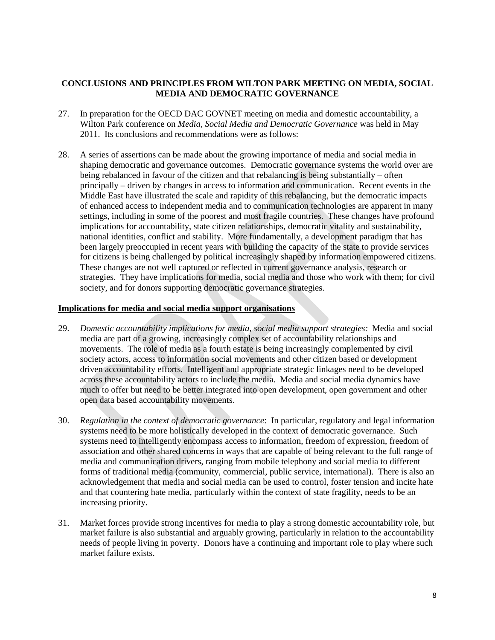## **CONCLUSIONS AND PRINCIPLES FROM WILTON PARK MEETING ON MEDIA, SOCIAL MEDIA AND DEMOCRATIC GOVERNANCE**

- 27. In preparation for the OECD DAC GOVNET meeting on media and domestic accountability, a Wilton Park conference on *Media, Social Media and Democratic Governance* was held in May 2011. Its conclusions and recommendations were as follows:
- 28. A series of assertions can be made about the growing importance of media and social media in shaping democratic and governance outcomes. Democratic governance systems the world over are being rebalanced in favour of the citizen and that rebalancing is being substantially – often principally – driven by changes in access to information and communication. Recent events in the Middle East have illustrated the scale and rapidity of this rebalancing, but the democratic impacts of enhanced access to independent media and to communication technologies are apparent in many settings, including in some of the poorest and most fragile countries. These changes have profound implications for accountability, state citizen relationships, democratic vitality and sustainability, national identities, conflict and stability. More fundamentally, a development paradigm that has been largely preoccupied in recent years with building the capacity of the state to provide services for citizens is being challenged by political increasingly shaped by information empowered citizens. These changes are not well captured or reflected in current governance analysis, research or strategies. They have implications for media, social media and those who work with them; for civil society, and for donors supporting democratic governance strategies.

#### **Implications for media and social media support organisations**

- 29. *Domestic accountability implications for media, social media support strategies:* Media and social media are part of a growing, increasingly complex set of accountability relationships and movements. The role of media as a fourth estate is being increasingly complemented by civil society actors, access to information social movements and other citizen based or development driven accountability efforts. Intelligent and appropriate strategic linkages need to be developed across these accountability actors to include the media. Media and social media dynamics have much to offer but need to be better integrated into open development, open government and other open data based accountability movements.
- 30. *Regulation in the context of democratic governance*: In particular, regulatory and legal information systems need to be more holistically developed in the context of democratic governance. Such systems need to intelligently encompass access to information, freedom of expression, freedom of association and other shared concerns in ways that are capable of being relevant to the full range of media and communication drivers, ranging from mobile telephony and social media to different forms of traditional media (community, commercial, public service, international). There is also an acknowledgement that media and social media can be used to control, foster tension and incite hate and that countering hate media, particularly within the context of state fragility, needs to be an increasing priority.
- 31. Market forces provide strong incentives for media to play a strong domestic accountability role, but market failure is also substantial and arguably growing, particularly in relation to the accountability needs of people living in poverty. Donors have a continuing and important role to play where such market failure exists.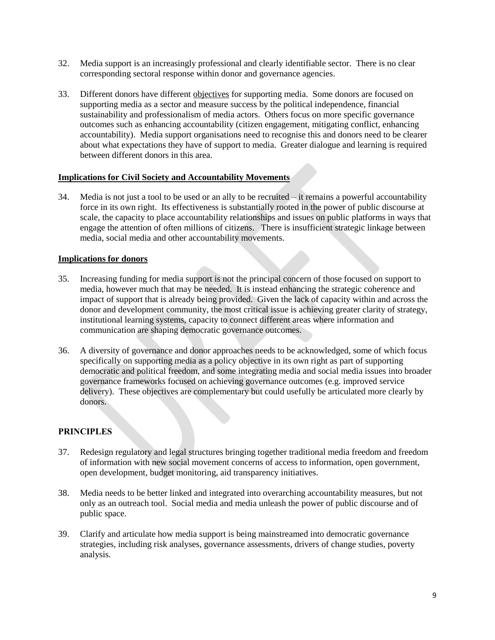- 32. Media support is an increasingly professional and clearly identifiable sector. There is no clear corresponding sectoral response within donor and governance agencies.
- 33. Different donors have different objectives for supporting media. Some donors are focused on supporting media as a sector and measure success by the political independence, financial sustainability and professionalism of media actors. Others focus on more specific governance outcomes such as enhancing accountability (citizen engagement, mitigating conflict, enhancing accountability). Media support organisations need to recognise this and donors need to be clearer about what expectations they have of support to media. Greater dialogue and learning is required between different donors in this area.

#### **Implications for Civil Society and Accountability Movements**

34. Media is not just a tool to be used or an ally to be recruited – it remains a powerful accountability force in its own right. Its effectiveness is substantially rooted in the power of public discourse at scale, the capacity to place accountability relationships and issues on public platforms in ways that engage the attention of often millions of citizens. There is insufficient strategic linkage between media, social media and other accountability movements.

#### **Implications for donors**

- 35. Increasing funding for media support is not the principal concern of those focused on support to media, however much that may be needed. It is instead enhancing the strategic coherence and impact of support that is already being provided. Given the lack of capacity within and across the donor and development community, the most critical issue is achieving greater clarity of strategy, institutional learning systems, capacity to connect different areas where information and communication are shaping democratic governance outcomes.
- 36. A diversity of governance and donor approaches needs to be acknowledged, some of which focus specifically on supporting media as a policy objective in its own right as part of supporting democratic and political freedom, and some integrating media and social media issues into broader governance frameworks focused on achieving governance outcomes (e.g. improved service delivery). These objectives are complementary but could usefully be articulated more clearly by donors.

#### **PRINCIPLES**

- 37. Redesign regulatory and legal structures bringing together traditional media freedom and freedom of information with new social movement concerns of access to information, open government, open development, budget monitoring, aid transparency initiatives.
- 38. Media needs to be better linked and integrated into overarching accountability measures, but not only as an outreach tool. Social media and media unleash the power of public discourse and of public space.
- 39. Clarify and articulate how media support is being mainstreamed into democratic governance strategies, including risk analyses, governance assessments, drivers of change studies, poverty analysis.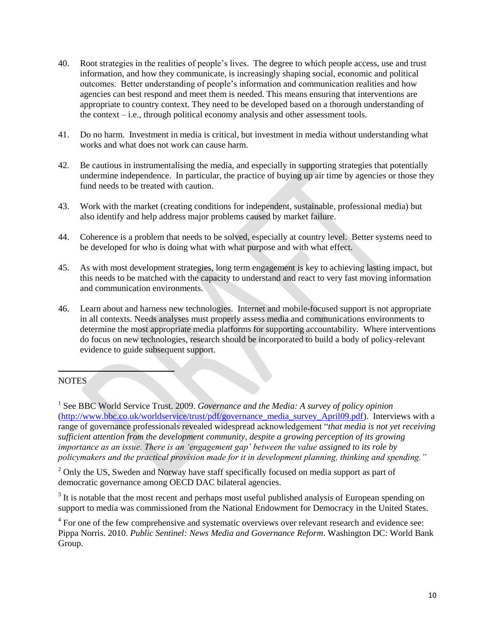- 40. Root strategies in the realities of people"s lives. The degree to which people access, use and trust information, and how they communicate, is increasingly shaping social, economic and political outcomes. Better understanding of people"s information and communication realities and how agencies can best respond and meet them is needed. This means ensuring that interventions are appropriate to country context. They need to be developed based on a thorough understanding of the context – i.e., through political economy analysis and other assessment tools.
- 41. Do no harm. Investment in media is critical, but investment in media without understanding what works and what does not work can cause harm.
- 42. Be cautious in instrumentalising the media, and especially in supporting strategies that potentially undermine independence. In particular, the practice of buying up air time by agencies or those they fund needs to be treated with caution.
- 43. Work with the market (creating conditions for independent, sustainable, professional media) but also identify and help address major problems caused by market failure.
- 44. Coherence is a problem that needs to be solved, especially at country level. Better systems need to be developed for who is doing what with what purpose and with what effect.
- 45. As with most development strategies, long term engagement is key to achieving lasting impact, but this needs to be matched with the capacity to understand and react to very fast moving information and communication environments.
- 46. Learn about and harness new technologies. Internet and mobile-focused support is not appropriate in all contexts. Needs analyses must properly assess media and communications environments to determine the most appropriate media platforms for supporting accountability. Where interventions do focus on new technologies, research should be incorporated to build a body of policy-relevant evidence to guide subsequent support.

#### **NOTES**

 $\overline{\phantom{a}}$ 

<sup>1</sup> See BBC World Service Trust. 2009. *Governance and the Media: A survey of policy opinion* [\(http://www.bbc.co.uk/worldservice/trust/pdf/governance\\_media\\_survey\\_April09.pdf\)](http://www.bbc.co.uk/worldservice/trust/pdf/governance_media_survey_April09.pdf). Interviews with a range of governance professionals revealed widespread acknowledgement "*that media is not yet receiving sufficient attention from the development community, despite a growing perception of its growing importance as an issue. There is an "engagement gap" between the value assigned to its role by policymakers and the practical provision made for it in development planning, thinking and spending."*

 $2$  Only the US, Sweden and Norway have staff specifically focused on media support as part of democratic governance among OECD DAC bilateral agencies.

 $3$  It is notable that the most recent and perhaps most useful published analysis of European spending on support to media was commissioned from the National Endowment for Democracy in the United States.

<sup>4</sup> For one of the few comprehensive and systematic overviews over relevant research and evidence see: Pippa Norris. 2010. *Public Sentinel: News Media and Governance Reform*. Washington DC: World Bank Group.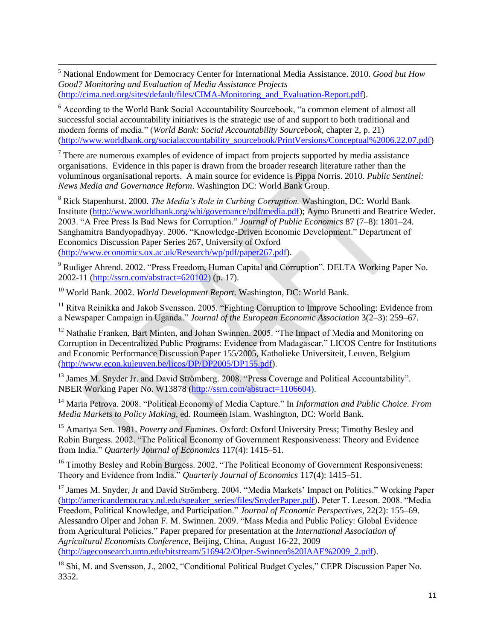$\overline{\phantom{a}}$ <sup>5</sup> National Endowment for Democracy Center for International Media Assistance. 2010. *Good but How Good? Monitoring and Evaluation of Media Assistance Projects* [\(http://cima.ned.org/sites/default/files/CIMA-Monitoring\\_and\\_Evaluation-Report.pdf\)](http://cima.ned.org/sites/default/files/CIMA-Monitoring_and_Evaluation-Report.pdf).

<sup>6</sup> According to the World Bank Social Accountability Sourcebook, "a common element of almost all successful social accountability initiatives is the strategic use of and support to both traditional and modern forms of media." (*World Bank: Social Accountability Sourcebook*, chapter 2, p. 21) [\(http://www.worldbank.org/socialaccountability\\_sourcebook/PrintVersions/Conceptual%2006.22.07.pdf\)](http://www.worldbank.org/socialaccountability_sourcebook/PrintVersions/Conceptual%2006.22.07.pdf)

 $<sup>7</sup>$  There are numerous examples of evidence of impact from projects supported by media assistance</sup> organisations. Evidence in this paper is drawn from the broader research literature rather than the voluminous organisational reports. A main source for evidence is Pippa Norris. 2010. *Public Sentinel: News Media and Governance Reform*. Washington DC: World Bank Group.

<sup>8</sup> Rick Stapenhurst. 2000. *The Media"s Role in Curbing Corruption.* Washington, DC: World Bank Institute [\(http://www.worldbank.org/wbi/governance/pdf/media.pdf\)](http://www.worldbank.org/wbi/governance/pdf/media.pdf); Aymo Brunetti and Beatrice Weder. 2003. "A Free Press Is Bad News for Corruption." *Journal of Public Economics* 87 (7–8): 1801–24. Sanghamitra Bandyopadhyay. 2006. "Knowledge-Driven Economic Development." Department of Economics Discussion Paper Series 267, University of Oxford [\(http://www.economics.ox.ac.uk/Research/wp/pdf/paper267.pdf\)](http://www.economics.ox.ac.uk/Research/wp/pdf/paper267.pdf).

<sup>9</sup> Rudiger Ahrend. 2002. "Press Freedom, Human Capital and Corruption". DELTA Working Paper No. 2002-11 (http://ssrn.com/abstract=620102) (p. 17).

<sup>10</sup> World Bank. 2002. *World Development Report*. Washington, DC: World Bank.

<sup>11</sup> Ritva Reinikka and Jakob Svensson. 2005. "Fighting Corruption to Improve Schooling: Evidence from a Newspaper Campaign in Uganda." *Journal of the European Economic Association* 3(2–3): 259–67.

<sup>12</sup> Nathalie Franken, Bart Minten, and Johan Swinnen. 2005. "The Impact of Media and Monitoring on Corruption in Decentralized Public Programs: Evidence from Madagascar." LICOS Centre for Institutions and Economic Performance Discussion Paper 155/2005, Katholieke Universiteit, Leuven, Belgium [\(http://www.econ.kuleuven.be/licos/DP/DP2005/DP155.pdf\)](http://www.econ.kuleuven.be/licos/DP/DP2005/DP155.pdf).

<sup>13</sup> James M. Snyder Jr. and David Strömberg. 2008. "Press Coverage and Political Accountability". NBER Working Paper No. W13878 [\(http://ssrn.com/abstract=1106604\)](http://ssrn.com/abstract=1106604).

<sup>14</sup> Maria Petrova. 2008. "Political Economy of Media Capture." In *Information and Public Choice. From Media Markets to Policy Making,* ed. Roumeen Islam. Washington, DC: World Bank.

<sup>15</sup> Amartya Sen. 1981. *Poverty and Famines.* Oxford: Oxford University Press; Timothy Besley and Robin Burgess. 2002. "The Political Economy of Government Responsiveness: Theory and Evidence from India." *Quarterly Journal of Economics* 117(4): 1415–51.

<sup>16</sup> Timothy Besley and Robin Burgess. 2002. "The Political Economy of Government Responsiveness: Theory and Evidence from India." *Quarterly Journal of Economics* 117(4): 1415–51.

<sup>17</sup> James M. Snyder, Jr and David Strömberg. 2004. "Media Markets' Impact on Politics." Working Paper [\(http://americandemocracy.nd.edu/speaker\\_series/files/SnyderPaper.pdf\)](http://americandemocracy.nd.edu/speaker_series/files/SnyderPaper.pdf). Peter T. Leeson. 2008. "Media Freedom, Political Knowledge, and Participation." *Journal of Economic Perspectives,* 22(2): 155–69. Alessandro Olper and Johan F. M. Swinnen. 2009. "Mass Media and Public Policy: Global Evidence from Agricultural Policies." Paper prepared for presentation at the *International Association of Agricultural Economists Conference,* Beijing, China, August 16-22, 2009 [\(http://ageconsearch.umn.edu/bitstream/51694/2/Olper-Swinnen%20IAAE%2009\\_2.pdf\)](http://ageconsearch.umn.edu/bitstream/51694/2/Olper-Swinnen%20IAAE%2009_2.pdf).

<sup>18</sup> Shi, M. and Svensson, J., 2002, "Conditional Political Budget Cycles," CEPR Discussion Paper No. 3352.